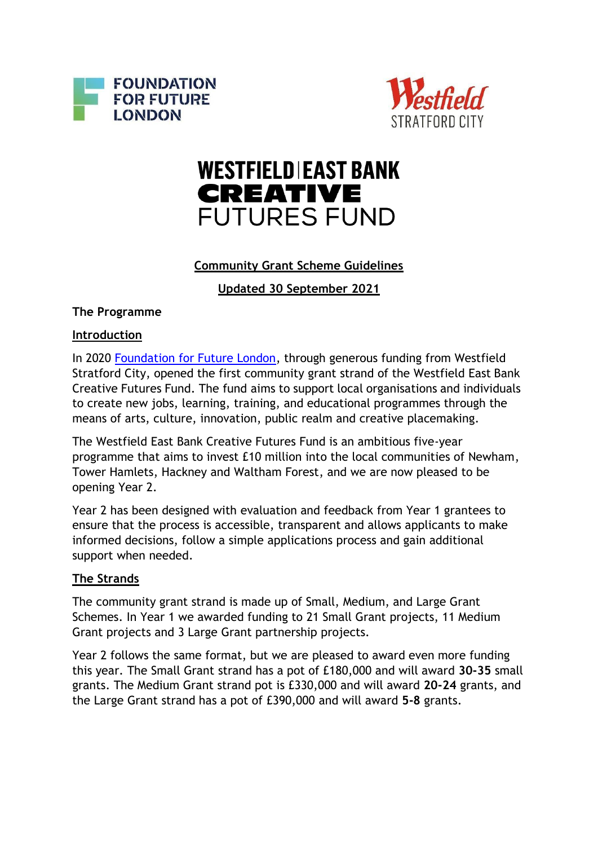



# **WESTFIELD EAST BANK CREATIVE FUTURES FUND**

# **Community Grant Scheme Guidelines**

**Updated 30 September 2021**

## **The Programme**

# **Introduction**

In 2020 [Foundation for Future London,](https://futurelondonfoundation.org/) through generous funding from Westfield Stratford City, opened the first community grant strand of the Westfield East Bank Creative Futures Fund. The fund aims to support local organisations and individuals to create new jobs, learning, training, and educational programmes through the means of arts, culture, innovation, public realm and creative placemaking.

The Westfield East Bank Creative Futures Fund is an ambitious five-year programme that aims to invest £10 million into the local communities of Newham, Tower Hamlets, Hackney and Waltham Forest, and we are now pleased to be opening Year 2.

Year 2 has been designed with evaluation and feedback from Year 1 grantees to ensure that the process is accessible, transparent and allows applicants to make informed decisions, follow a simple applications process and gain additional support when needed.

# **The Strands**

The community grant strand is made up of Small, Medium, and Large Grant Schemes. In Year 1 we awarded funding to 21 Small Grant projects, 11 Medium Grant projects and 3 Large Grant partnership projects.

Year 2 follows the same format, but we are pleased to award even more funding this year. The Small Grant strand has a pot of £180,000 and will award **30-35** small grants. The Medium Grant strand pot is £330,000 and will award **20-24** grants, and the Large Grant strand has a pot of £390,000 and will award **5-8** grants.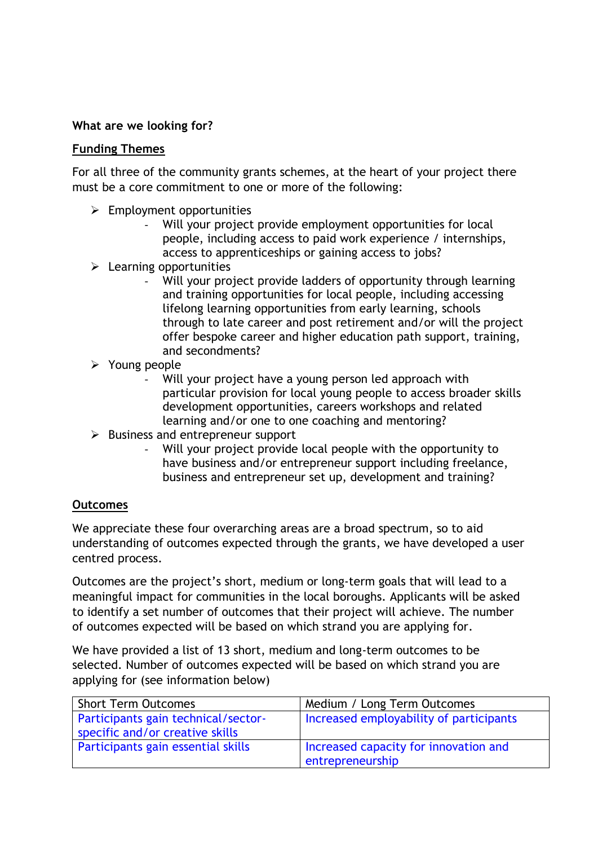## **What are we looking for?**

#### **Funding Themes**

For all three of the community grants schemes, at the heart of your project there must be a core commitment to one or more of the following:

- ➢ Employment opportunities
	- Will your project provide employment opportunities for local people, including access to paid work experience / internships, access to apprenticeships or gaining access to jobs?
- $\triangleright$  Learning opportunities
	- Will your project provide ladders of opportunity through learning and training opportunities for local people, including accessing lifelong learning opportunities from early learning, schools through to late career and post retirement and/or will the project offer bespoke career and higher education path support, training, and secondments?
- ➢ Young people
	- Will your project have a young person led approach with particular provision for local young people to access broader skills development opportunities, careers workshops and related learning and/or one to one coaching and mentoring?
- ➢ Business and entrepreneur support
	- Will your project provide local people with the opportunity to have business and/or entrepreneur support including freelance, business and entrepreneur set up, development and training?

## **Outcomes**

We appreciate these four overarching areas are a broad spectrum, so to aid understanding of outcomes expected through the grants, we have developed a user centred process.

Outcomes are the project's short, medium or long-term goals that will lead to a meaningful impact for communities in the local boroughs. Applicants will be asked to identify a set number of outcomes that their project will achieve. The number of outcomes expected will be based on which strand you are applying for.

We have provided a list of 13 short, medium and long-term outcomes to be selected. Number of outcomes expected will be based on which strand you are applying for (see information below)

| <b>Short Term Outcomes</b>          | Medium / Long Term Outcomes             |
|-------------------------------------|-----------------------------------------|
| Participants gain technical/sector- | Increased employability of participants |
| specific and/or creative skills     |                                         |
| Participants gain essential skills  | Increased capacity for innovation and   |
|                                     | entrepreneurship                        |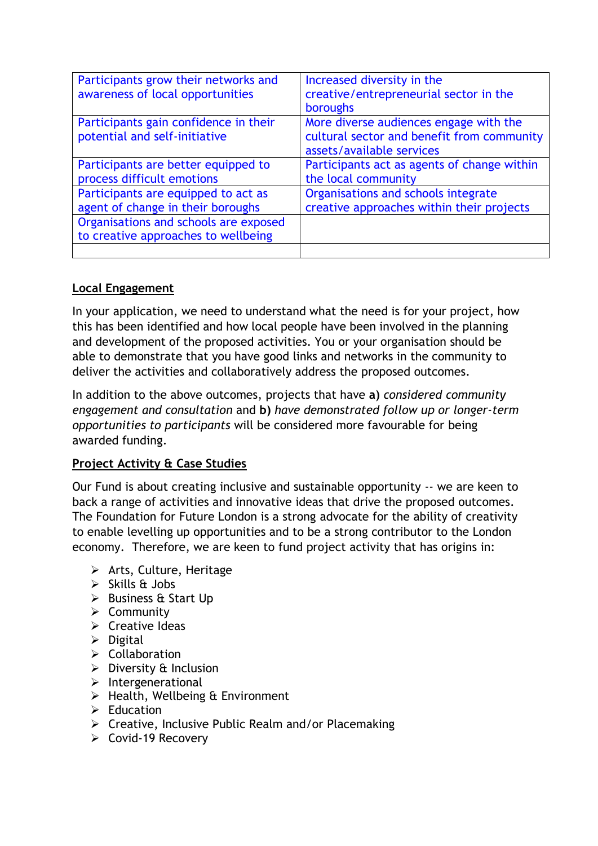| Increased diversity in the<br>creative/entrepreneurial sector in the<br>boroughs                                  |
|-------------------------------------------------------------------------------------------------------------------|
| More diverse audiences engage with the<br>cultural sector and benefit from community<br>assets/available services |
| Participants act as agents of change within<br>the local community                                                |
| Organisations and schools integrate<br>creative approaches within their projects                                  |
|                                                                                                                   |
|                                                                                                                   |

# **Local Engagement**

In your application, we need to understand what the need is for your project, how this has been identified and how local people have been involved in the planning and development of the proposed activities. You or your organisation should be able to demonstrate that you have good links and networks in the community to deliver the activities and collaboratively address the proposed outcomes.

In addition to the above outcomes, projects that have **a)** *considered community engagement and consultation* and **b)** *have demonstrated follow up or longer-term opportunities to participants* will be considered more favourable for being awarded funding.

# **Project Activity & Case Studies**

Our Fund is about creating inclusive and sustainable opportunity -- we are keen to back a range of activities and innovative ideas that drive the proposed outcomes. The Foundation for Future London is a strong advocate for the ability of creativity to enable levelling up opportunities and to be a strong contributor to the London economy. Therefore, we are keen to fund project activity that has origins in:

- ➢ [Arts, Culture, Heritage](https://future.london/categories/arts-culture-heritage/)
- $\triangleright$  [Skills & Jobs](https://future.london/categories/skills-jobs/)
- ➢ [Business & Start Up](https://future.london/categories/business-start-up/)
- ➢ [Community](https://future.london/categories/community/)
- $\triangleright$  [Creative Ideas](https://future.london/categories/creative-ideas/)
- ➢ [Digital](https://future.london/categories/digital/)
- ➢ [Collaboration](https://future.london/categories/collaboration/)
- $\triangleright$  [Diversity & Inclusion](https://future.london/categories/diversity-inclusion/)
- ➢ [Intergenerational](https://future.london/categories/intergenerational/)
- $\triangleright$  [Health, Wellbeing & Environment](https://future.london/categories/health-wellbeing-environment/)
- ➢ Education
- $\triangleright$  Creative, Inclusive Public Realm and/or Placemaking
- ➢ Covid-19 Recovery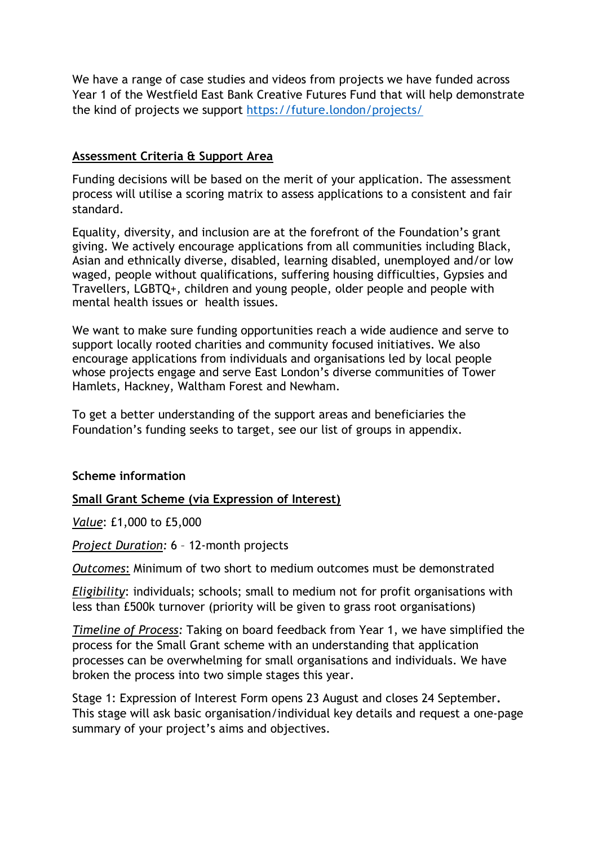We have a range of case studies and videos from projects we have funded across Year 1 of the Westfield East Bank Creative Futures Fund that will help demonstrate the kind of projects we support <https://future.london/projects/>

## **Assessment Criteria & Support Area**

Funding decisions will be based on the merit of your application. The assessment process will utilise a scoring matrix to assess applications to a consistent and fair standard.

Equality, diversity, and inclusion are at the forefront of the Foundation's grant giving. We actively encourage applications from all communities including Black, Asian and ethnically diverse, disabled, learning disabled, unemployed and/or low waged, people without qualifications, suffering housing difficulties, Gypsies and Travellers, LGBTQ+, children and young people, older people and people with mental health issues or health issues.

We want to make sure funding opportunities reach a wide audience and serve to support locally rooted charities and community focused initiatives. We also encourage applications from individuals and organisations led by local people whose projects engage and serve East London's diverse communities of Tower Hamlets, Hackney, Waltham Forest and Newham.

To get a better understanding of the support areas and beneficiaries the Foundation's funding seeks to target, see our list of groups in appendix.

## **Scheme information**

## **Small Grant Scheme (via Expression of Interest)**

*Value*: £1,000 to £5,000

*Project Duration:* 6 – 12-month projects

*Outcomes*: Minimum of two short to medium outcomes must be demonstrated

*Eligibility*: individuals; schools; small to medium not for profit organisations with less than £500k turnover (priority will be given to grass root organisations)

*Timeline of Process:* Taking on board feedback from Year 1, we have simplified the process for the Small Grant scheme with an understanding that application processes can be overwhelming for small organisations and individuals. We have broken the process into two simple stages this year.

Stage 1: Expression of Interest Form opens 23 August and closes 24 September**.** This stage will ask basic organisation/individual key details and request a one-page summary of your project's aims and objectives.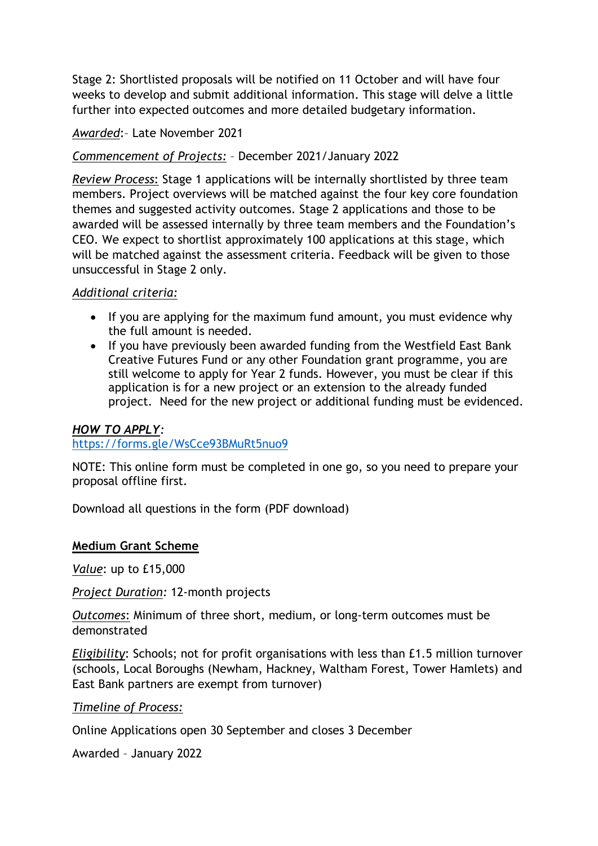Stage 2: Shortlisted proposals will be notified on 11 October and will have four weeks to develop and submit additional information. This stage will delve a little further into expected outcomes and more detailed budgetary information.

#### *Awarded*:– Late November 2021

#### *Commencement of Projects:* – December 2021/January 2022

*Review Process*: Stage 1 applications will be internally shortlisted by three team members. Project overviews will be matched against the four key core foundation themes and suggested activity outcomes. Stage 2 applications and those to be awarded will be assessed internally by three team members and the Foundation's CEO. We expect to shortlist approximately 100 applications at this stage, which will be matched against the assessment criteria. Feedback will be given to those unsuccessful in Stage 2 only.

#### *Additional criteria:*

- If you are applying for the maximum fund amount, you must evidence why the full amount is needed.
- If you have previously been awarded funding from the Westfield East Bank Creative Futures Fund or any other Foundation grant programme, you are still welcome to apply for Year 2 funds. However, you must be clear if this application is for a new project or an extension to the already funded project. Need for the new project or additional funding must be evidenced.

#### *HOW TO APPLY:*

#### <https://forms.gle/WsCce93BMuRt5nuo9>

NOTE: This online form must be completed in one go, so you need to prepare your proposal offline first.

Download all questions in the form (PDF download)

#### **Medium Grant Scheme**

*Value*: up to £15,000

*Project Duration:* 12-month projects

*Outcomes*: Minimum of three short, medium, or long-term outcomes must be demonstrated

*Eligibility*: Schools; not for profit organisations with less than £1.5 million turnover (schools, Local Boroughs (Newham, Hackney, Waltham Forest, Tower Hamlets) and East Bank partners are exempt from turnover)

#### *Timeline of Process:*

Online Applications open 30 September and closes 3 December

Awarded – January 2022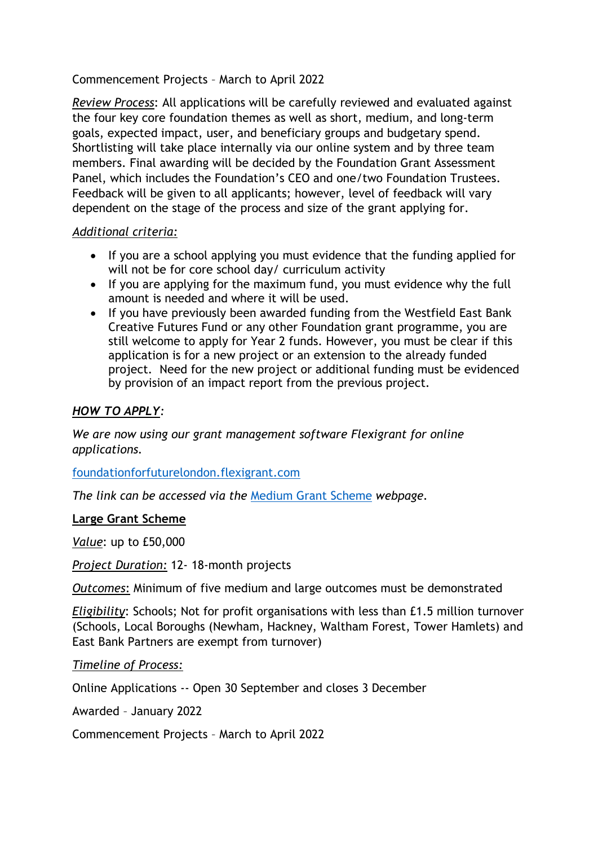## Commencement Projects – March to April 2022

*Review Process*: All applications will be carefully reviewed and evaluated against the four key core foundation themes as well as short, medium, and long-term goals, expected impact, user, and beneficiary groups and budgetary spend. Shortlisting will take place internally via our online system and by three team members. Final awarding will be decided by the Foundation Grant Assessment Panel, which includes the Foundation's CEO and one/two Foundation Trustees. Feedback will be given to all applicants; however, level of feedback will vary dependent on the stage of the process and size of the grant applying for.

#### *Additional criteria:*

- If you are a school applying you must evidence that the funding applied for will not be for core school day/ curriculum activity
- If you are applying for the maximum fund, you must evidence why the full amount is needed and where it will be used.
- If you have previously been awarded funding from the Westfield East Bank Creative Futures Fund or any other Foundation grant programme, you are still welcome to apply for Year 2 funds. However, you must be clear if this application is for a new project or an extension to the already funded project. Need for the new project or additional funding must be evidenced by provision of an impact report from the previous project.

#### *HOW TO APPLY:*

*We are now using our grant management software Flexigrant for online applications.*

[foundationforfuturelondon.flexigrant.com](https://foundationforfuturelondon.flexigrant.com/)

*The link can be accessed via the* [Medium Grant Scheme](https://future.london/grant/westfield-east-bank-creative-futures-fund-medium-grant-scheme/) *webpage.* 

#### **Large Grant Scheme**

*Value*: up to £50,000

*Project Duration:* 12- 18-month projects

*Outcomes*: Minimum of five medium and large outcomes must be demonstrated

*Eligibility*: Schools; Not for profit organisations with less than £1.5 million turnover (Schools, Local Boroughs (Newham, Hackney, Waltham Forest, Tower Hamlets) and East Bank Partners are exempt from turnover)

*Timeline of Process:* 

Online Applications -- Open 30 September and closes 3 December

Awarded – January 2022

Commencement Projects – March to April 2022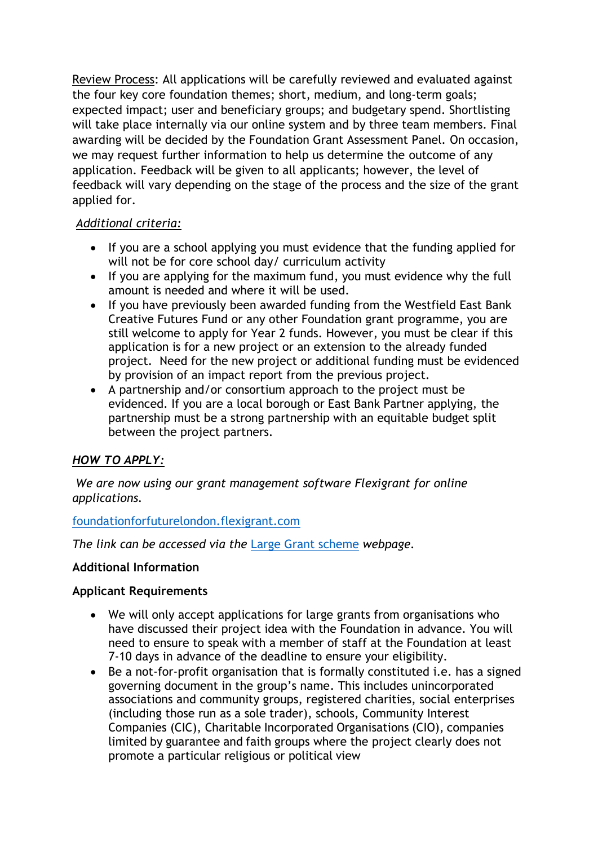Review Process: All applications will be carefully reviewed and evaluated against the four key core foundation themes; short, medium, and long-term goals; expected impact; user and beneficiary groups; and budgetary spend. Shortlisting will take place internally via our online system and by three team members. Final awarding will be decided by the Foundation Grant Assessment Panel. On occasion, we may request further information to help us determine the outcome of any application. Feedback will be given to all applicants; however, the level of feedback will vary depending on the stage of the process and the size of the grant applied for.

## *Additional criteria:*

- If you are a school applying you must evidence that the funding applied for will not be for core school day/ curriculum activity
- If you are applying for the maximum fund, you must evidence why the full amount is needed and where it will be used.
- If you have previously been awarded funding from the Westfield East Bank Creative Futures Fund or any other Foundation grant programme, you are still welcome to apply for Year 2 funds. However, you must be clear if this application is for a new project or an extension to the already funded project. Need for the new project or additional funding must be evidenced by provision of an impact report from the previous project.
- A partnership and/or consortium approach to the project must be evidenced. If you are a local borough or East Bank Partner applying, the partnership must be a strong partnership with an equitable budget split between the project partners.

# *HOW TO APPLY:*

*We are now using our grant management software Flexigrant for online applications.* 

## [foundationforfuturelondon.flexigrant.com](https://foundationforfuturelondon.flexigrant.com/)

*The link can be accessed via the* [Large Grant scheme](https://future.london/grant/westfield-east-bank-creative-futures-fund-large-grant-scheme) *webpage.*

## **Additional Information**

## **Applicant Requirements**

- We will only accept applications for large grants from organisations who have discussed their project idea with the Foundation in advance. You will need to ensure to speak with a member of staff at the Foundation at least 7-10 days in advance of the deadline to ensure your eligibility.
- Be a not-for-profit organisation that is formally constituted i.e. has a signed governing document in the group's name. This includes unincorporated associations and community groups, registered charities, social enterprises (including those run as a sole trader), schools, Community Interest Companies (CIC), Charitable Incorporated Organisations (CIO), companies limited by guarantee and faith groups where the project clearly does not promote a particular religious or political view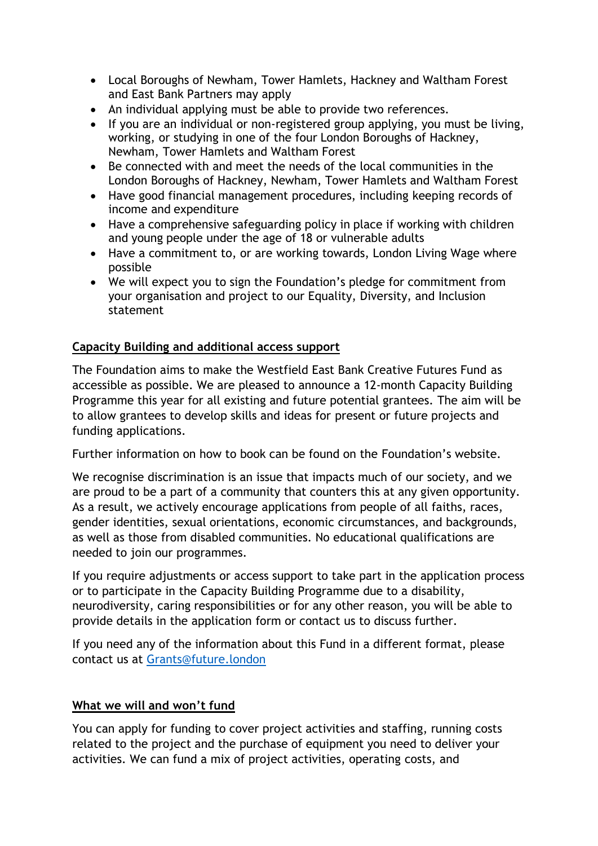- Local Boroughs of Newham, Tower Hamlets, Hackney and Waltham Forest and East Bank Partners may apply
- An individual applying must be able to provide two references.
- If you are an individual or non-registered group applying, you must be living, working, or studying in one of the four London Boroughs of Hackney, Newham, Tower Hamlets and Waltham Forest
- Be connected with and meet the needs of the local communities in the London Boroughs of Hackney, Newham, Tower Hamlets and Waltham Forest
- Have good financial management procedures, including keeping records of income and expenditure
- Have a comprehensive safeguarding policy in place if working with children and young people under the age of 18 or vulnerable adults
- Have a commitment to, or are working towards, London Living Wage where possible
- We will expect you to sign the Foundation's pledge for commitment from your organisation and project to our Equality, Diversity, and Inclusion statement

# **Capacity Building and additional access support**

The Foundation aims to make the Westfield East Bank Creative Futures Fund as accessible as possible. We are pleased to announce a 12-month Capacity Building Programme this year for all existing and future potential grantees. The aim will be to allow grantees to develop skills and ideas for present or future projects and funding applications.

Further information on how to book can be found on the Foundation's website.

We recognise discrimination is an issue that impacts much of our society, and we are proud to be a part of a community that counters this at any given opportunity. As a result, we actively encourage applications from people of all faiths, races, gender identities, sexual orientations, economic circumstances, and backgrounds, as well as those from disabled communities. No educational qualifications are needed to join our programmes.

If you require adjustments or access support to take part in the application process or to participate in the Capacity Building Programme due to a disability, neurodiversity, caring responsibilities or for any other reason, you will be able to provide details in the application form or contact us to discuss further.

If you need any of the information about this Fund in a different format, please contact us at [Grants@future.london](mailto:Grants@future.london)

## **What we will and won't fund**

You can apply for funding to cover project activities and staffing, running costs related to the project and the purchase of equipment you need to deliver your activities. We can fund a mix of project activities, operating costs, and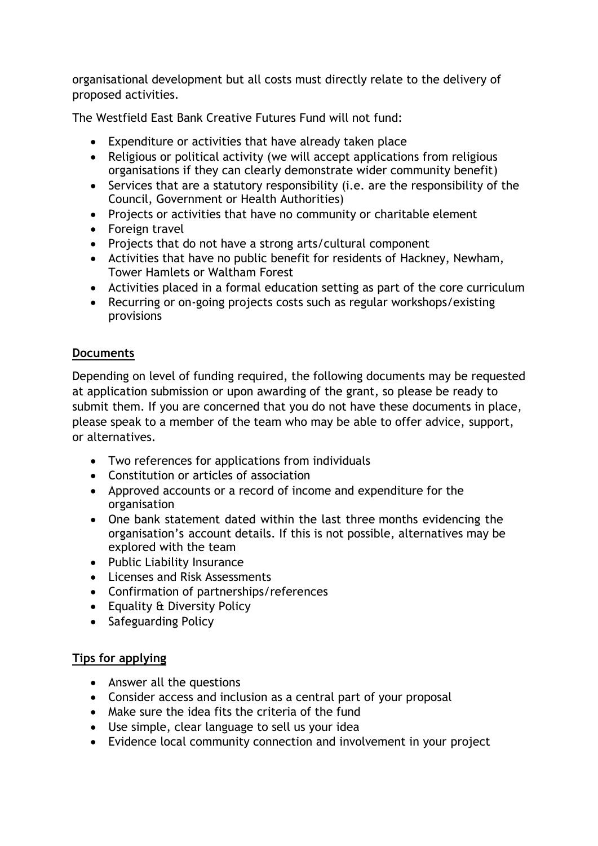organisational development but all costs must directly relate to the delivery of proposed activities.

The Westfield East Bank Creative Futures Fund will not fund:

- Expenditure or activities that have already taken place
- Religious or political activity (we will accept applications from religious organisations if they can clearly demonstrate wider community benefit)
- Services that are a statutory responsibility (i.e. are the responsibility of the Council, Government or Health Authorities)
- Projects or activities that have no community or charitable element
- Foreign travel
- Projects that do not have a strong arts/cultural component
- Activities that have no public benefit for residents of Hackney, Newham, Tower Hamlets or Waltham Forest
- Activities placed in a formal education setting as part of the core curriculum
- Recurring or on-going projects costs such as regular workshops/existing provisions

## **Documents**

Depending on level of funding required, the following documents may be requested at application submission or upon awarding of the grant, so please be ready to submit them. If you are concerned that you do not have these documents in place, please speak to a member of the team who may be able to offer advice, support, or alternatives.

- Two references for applications from individuals
- Constitution or articles of association
- Approved accounts or a record of income and expenditure for the organisation
- One bank statement dated within the last three months evidencing the organisation's account details. If this is not possible, alternatives may be explored with the team
- Public Liability Insurance
- Licenses and Risk Assessments
- Confirmation of partnerships/references
- Equality & Diversity Policy
- Safeguarding Policy

## **Tips for applying**

- Answer all the questions
- Consider access and inclusion as a central part of your proposal
- Make sure the idea fits the criteria of the fund
- Use simple, clear language to sell us your idea
- Evidence local community connection and involvement in your project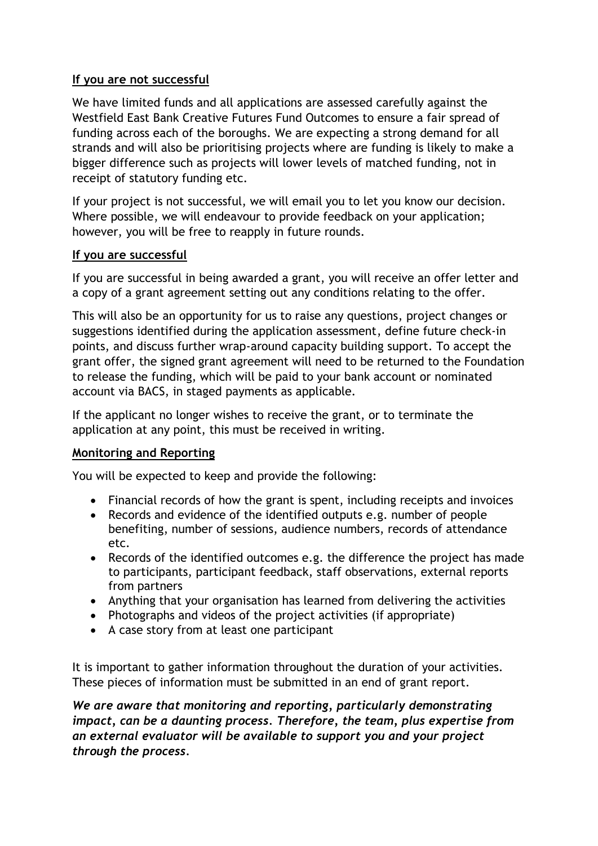# **If you are not successful**

We have limited funds and all applications are assessed carefully against the Westfield East Bank Creative Futures Fund Outcomes to ensure a fair spread of funding across each of the boroughs. We are expecting a strong demand for all strands and will also be prioritising projects where are funding is likely to make a bigger difference such as projects will lower levels of matched funding, not in receipt of statutory funding etc.

If your project is not successful, we will email you to let you know our decision. Where possible, we will endeavour to provide feedback on your application; however, you will be free to reapply in future rounds.

## **If you are successful**

If you are successful in being awarded a grant, you will receive an offer letter and a copy of a grant agreement setting out any conditions relating to the offer.

This will also be an opportunity for us to raise any questions, project changes or suggestions identified during the application assessment, define future check-in points, and discuss further wrap-around capacity building support. To accept the grant offer, the signed grant agreement will need to be returned to the Foundation to release the funding, which will be paid to your bank account or nominated account via BACS, in staged payments as applicable.

If the applicant no longer wishes to receive the grant, or to terminate the application at any point, this must be received in writing.

## **Monitoring and Reporting**

You will be expected to keep and provide the following:

- Financial records of how the grant is spent, including receipts and invoices
- Records and evidence of the identified outputs e.g. number of people benefiting, number of sessions, audience numbers, records of attendance etc.
- Records of the identified outcomes e.g. the difference the project has made to participants, participant feedback, staff observations, external reports from partners
- Anything that your organisation has learned from delivering the activities
- Photographs and videos of the project activities (if appropriate)
- A case story from at least one participant

It is important to gather information throughout the duration of your activities. These pieces of information must be submitted in an end of grant report.

*We are aware that monitoring and reporting, particularly demonstrating impact, can be a daunting process. Therefore, the team, plus expertise from an external evaluator will be available to support you and your project through the process.*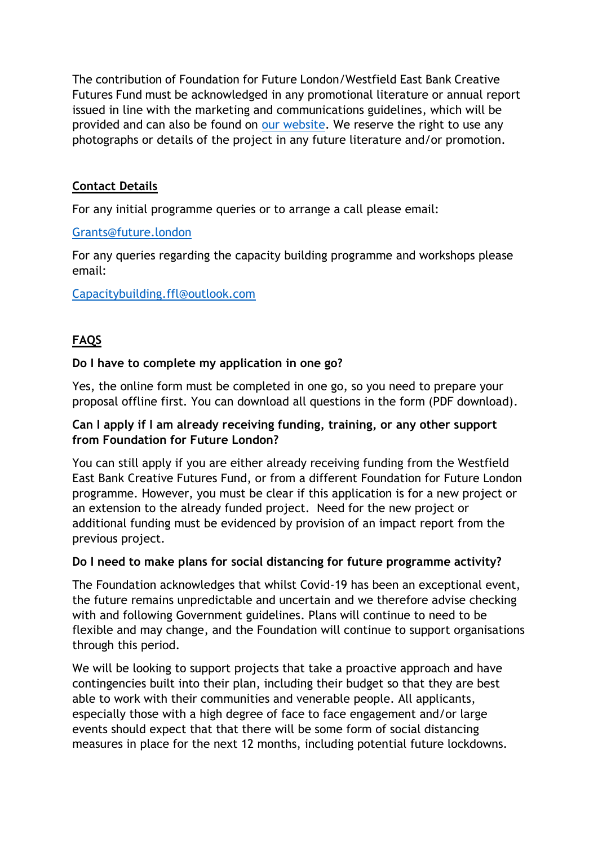The contribution of Foundation for Future London/Westfield East Bank Creative Futures Fund must be acknowledged in any promotional literature or annual report issued in line with the marketing and communications guidelines, which will be provided and can also be found on [our website.](https://future.london/press-and-marketing-for-westfield-east-bank-creative-futures-fund-projects/) We reserve the right to use any photographs or details of the project in any future literature and/or promotion.

# **Contact Details**

For any initial programme queries or to arrange a call please email:

#### [Grants@future.london](mailto:Grants@future.london)

For any queries regarding the capacity building programme and workshops please email:

#### [Capacitybuilding.ffl@outlook.com](mailto:Capacitybuilding.ffl@outlook.com)

# **FAQS**

#### **Do I have to complete my application in one go?**

Yes, the online form must be completed in one go, so you need to prepare your proposal offline first. You can download all questions in the form (PDF download).

#### **Can I apply if I am already receiving funding, training, or any other support from Foundation for Future London?**

You can still apply if you are either already receiving funding from the Westfield East Bank Creative Futures Fund, or from a different Foundation for Future London programme. However, you must be clear if this application is for a new project or an extension to the already funded project. Need for the new project or additional funding must be evidenced by provision of an impact report from the previous project.

## **Do I need to make plans for social distancing for future programme activity?**

The Foundation acknowledges that whilst Covid-19 has been an exceptional event, the future remains unpredictable and uncertain and we therefore advise checking with and following Government guidelines. Plans will continue to need to be flexible and may change, and the Foundation will continue to support organisations through this period.

We will be looking to support projects that take a proactive approach and have contingencies built into their plan, including their budget so that they are best able to work with their communities and venerable people. All applicants, especially those with a high degree of face to face engagement and/or large events should expect that that there will be some form of social distancing measures in place for the next 12 months, including potential future lockdowns.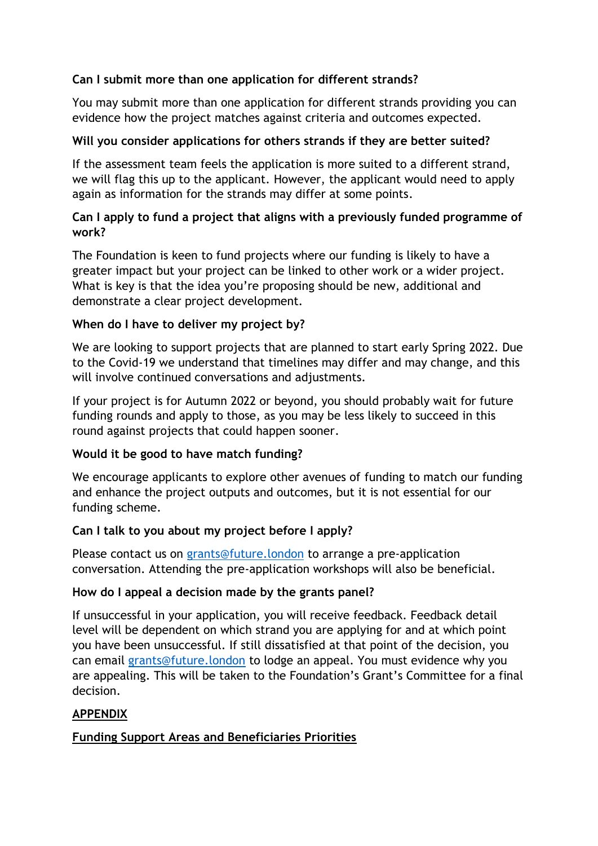# **Can I submit more than one application for different strands?**

You may submit more than one application for different strands providing you can evidence how the project matches against criteria and outcomes expected.

## **Will you consider applications for others strands if they are better suited?**

If the assessment team feels the application is more suited to a different strand, we will flag this up to the applicant. However, the applicant would need to apply again as information for the strands may differ at some points.

## **Can I apply to fund a project that aligns with a previously funded programme of work?**

The Foundation is keen to fund projects where our funding is likely to have a greater impact but your project can be linked to other work or a wider project. What is key is that the idea you're proposing should be new, additional and demonstrate a clear project development.

## **When do I have to deliver my project by?**

We are looking to support projects that are planned to start early Spring 2022. Due to the Covid-19 we understand that timelines may differ and may change, and this will involve continued conversations and adjustments.

If your project is for Autumn 2022 or beyond, you should probably wait for future funding rounds and apply to those, as you may be less likely to succeed in this round against projects that could happen sooner.

## **Would it be good to have match funding?**

We encourage applicants to explore other avenues of funding to match our funding and enhance the project outputs and outcomes, but it is not essential for our funding scheme.

## **Can I talk to you about my project before I apply?**

Please contact us on [grants@future.london](mailto:grants@future.london) to arrange a pre-application conversation. Attending the pre-application workshops will also be beneficial.

## **How do I appeal a decision made by the grants panel?**

If unsuccessful in your application, you will receive feedback. Feedback detail level will be dependent on which strand you are applying for and at which point you have been unsuccessful. If still dissatisfied at that point of the decision, you can email [grants@future.london](mailto:grants@future.london) to lodge an appeal. You must evidence why you are appealing. This will be taken to the Foundation's Grant's Committee for a final decision.

## **APPENDIX**

## **Funding Support Areas and Beneficiaries Priorities**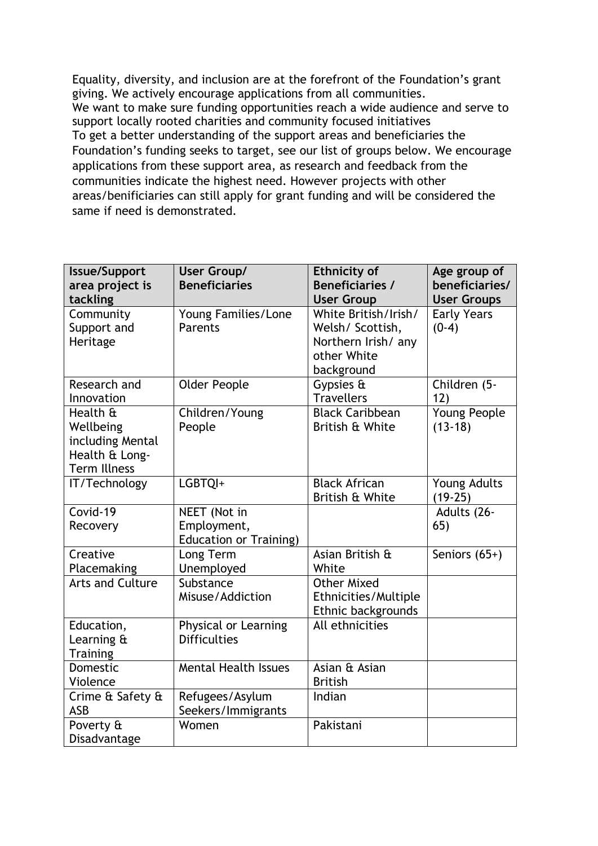Equality, diversity, and inclusion are at the forefront of the Foundation's grant giving. We actively encourage applications from all communities. We want to make sure funding opportunities reach a wide audience and serve to support locally rooted charities and community focused initiatives To get a better understanding of the support areas and beneficiaries the Foundation's funding seeks to target, see our list of groups below. We encourage applications from these support area, as research and feedback from the communities indicate the highest need. However projects with other areas/benificiaries can still apply for grant funding and will be considered the same if need is demonstrated.

| <b>Issue/Support</b>          | User Group/                   | <b>Ethnicity of</b>                       | Age group of       |
|-------------------------------|-------------------------------|-------------------------------------------|--------------------|
| area project is               | <b>Beneficiaries</b>          | <b>Beneficiaries /</b>                    | beneficiaries/     |
| tackling                      |                               | <b>User Group</b>                         | <b>User Groups</b> |
| Community                     | Young Families/Lone           | White British/Irish/                      | <b>Early Years</b> |
| Support and                   | Parents                       | Welsh/ Scottish,                          | $(0-4)$            |
| Heritage                      |                               | Northern Irish/ any                       |                    |
|                               |                               | other White                               |                    |
|                               |                               | background                                |                    |
| Research and                  | <b>Older People</b>           | Gypsies &                                 | Children (5-       |
| Innovation                    |                               | <b>Travellers</b>                         | 12)                |
| Health &                      | Children/Young                | <b>Black Caribbean</b><br>British & White | Young People       |
| Wellbeing<br>including Mental | People                        |                                           | $(13-18)$          |
| Health & Long-                |                               |                                           |                    |
| <b>Term Illness</b>           |                               |                                           |                    |
| IT/Technology                 | LGBTQI+                       | <b>Black African</b>                      | Young Adults       |
|                               |                               | British & White                           | $(19-25)$          |
| Covid-19                      | NEET (Not in                  |                                           | Adults (26-        |
| Recovery                      | Employment,                   |                                           | 65)                |
|                               | <b>Education or Training)</b> |                                           |                    |
| Creative                      | Long Term                     | Asian British &                           | Seniors $(65+)$    |
| Placemaking                   | Unemployed                    | White                                     |                    |
| <b>Arts and Culture</b>       | Substance                     | <b>Other Mixed</b>                        |                    |
|                               | Misuse/Addiction              | Ethnicities/Multiple                      |                    |
|                               |                               | Ethnic backgrounds                        |                    |
| Education,                    | Physical or Learning          | All ethnicities                           |                    |
| Learning &                    | <b>Difficulties</b>           |                                           |                    |
| <b>Training</b>               |                               |                                           |                    |
| Domestic                      | <b>Mental Health Issues</b>   | Asian & Asian                             |                    |
| Violence                      |                               | <b>British</b>                            |                    |
| Crime & Safety &              | Refugees/Asylum               | Indian                                    |                    |
| <b>ASB</b>                    | Seekers/Immigrants            |                                           |                    |
| Poverty &                     | Women                         | Pakistani                                 |                    |
| Disadvantage                  |                               |                                           |                    |